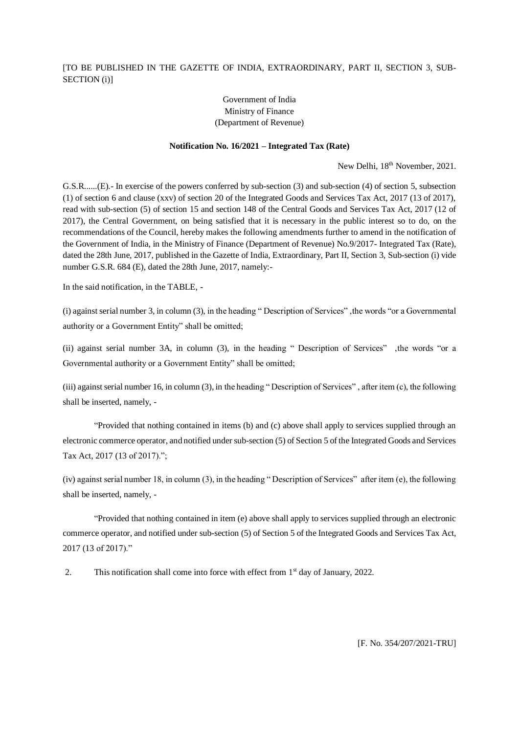## [TO BE PUBLISHED IN THE GAZETTE OF INDIA, EXTRAORDINARY, PART II, SECTION 3, SUB-SECTION (i)]

## Government of India Ministry of Finance (Department of Revenue)

## **Notification No. 16/2021 – Integrated Tax (Rate)**

New Delhi,  $18<sup>th</sup>$  November, 2021.

G.S.R......(E).- In exercise of the powers conferred by sub-section (3) and sub-section (4) of section 5, subsection (1) of section 6 and clause (xxv) of section 20 of the Integrated Goods and Services Tax Act, 2017 (13 of 2017), read with sub-section (5) of section 15 and section 148 of the Central Goods and Services Tax Act, 2017 (12 of 2017), the Central Government, on being satisfied that it is necessary in the public interest so to do, on the recommendations of the Council, hereby makes the following amendments further to amend in the notification of the Government of India, in the Ministry of Finance (Department of Revenue) No.9/2017- Integrated Tax (Rate), dated the 28th June, 2017, published in the Gazette of India, Extraordinary, Part II, Section 3, Sub-section (i) vide number G.S.R. 684 (E), dated the 28th June, 2017, namely:-

In the said notification, in the TABLE, -

(i) against serial number 3, in column (3), in the heading " Description of Services" ,the words "or a Governmental authority or a Government Entity" shall be omitted;

(ii) against serial number 3A, in column (3), in the heading " Description of Services" ,the words "or a Governmental authority or a Government Entity" shall be omitted;

(iii) against serial number 16, in column (3), in the heading " Description of Services" , after item (c), the following shall be inserted, namely, -

"Provided that nothing contained in items (b) and (c) above shall apply to services supplied through an electronic commerce operator, and notified under sub-section (5) of Section 5 of the Integrated Goods and Services Tax Act, 2017 (13 of 2017).";

(iv) against serial number 18, in column (3), in the heading " Description of Services" after item (e), the following shall be inserted, namely, -

"Provided that nothing contained in item (e) above shall apply to services supplied through an electronic commerce operator, and notified under sub-section (5) of Section 5 of the Integrated Goods and Services Tax Act, 2017 (13 of 2017)."

2. This notification shall come into force with effect from 1<sup>st</sup> day of January, 2022.

[F. No. 354/207/2021-TRU]